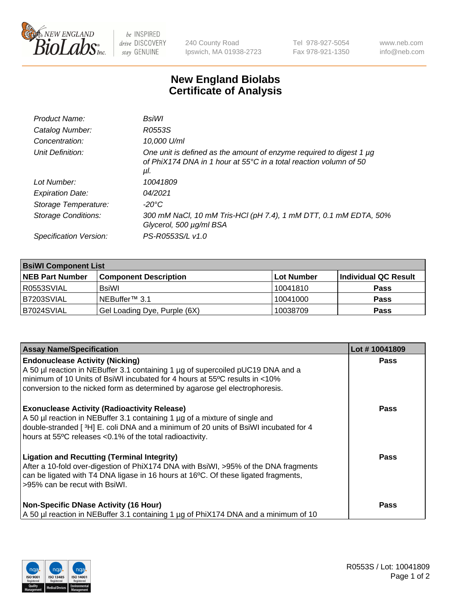

 $be$  INSPIRED drive DISCOVERY stay GENUINE

240 County Road Ipswich, MA 01938-2723 Tel 978-927-5054 Fax 978-921-1350 www.neb.com info@neb.com

## **New England Biolabs Certificate of Analysis**

| Product Name:              | BsiWl                                                                                                                                                          |
|----------------------------|----------------------------------------------------------------------------------------------------------------------------------------------------------------|
| Catalog Number:            | R0553S                                                                                                                                                         |
| Concentration:             | 10,000 U/ml                                                                                                                                                    |
| Unit Definition:           | One unit is defined as the amount of enzyme required to digest 1 $\mu$ g<br>of PhiX174 DNA in 1 hour at $55^{\circ}$ C in a total reaction volumn of 50<br>μI. |
| Lot Number:                | 10041809                                                                                                                                                       |
| <b>Expiration Date:</b>    | 04/2021                                                                                                                                                        |
| Storage Temperature:       | $-20^{\circ}$ C                                                                                                                                                |
| <b>Storage Conditions:</b> | 300 mM NaCl, 10 mM Tris-HCl (pH 7.4), 1 mM DTT, 0.1 mM EDTA, 50%<br>Glycerol, 500 µg/ml BSA                                                                    |
| Specification Version:     | PS-R0553S/L v1.0                                                                                                                                               |

| <b>BsiWI Component List</b> |                              |              |                       |  |  |
|-----------------------------|------------------------------|--------------|-----------------------|--|--|
| <b>NEB Part Number</b>      | <b>Component Description</b> | l Lot Number | ∣Individual QC Result |  |  |
| R0553SVIAL                  | BsiWl                        | 10041810     | <b>Pass</b>           |  |  |
| B7203SVIAL                  | NEBuffer™ 3.1                | 10041000     | <b>Pass</b>           |  |  |
| B7024SVIAL                  | Gel Loading Dye, Purple (6X) | 10038709     | <b>Pass</b>           |  |  |

| <b>Assay Name/Specification</b>                                                                                                                                                                                                                                                           | Lot #10041809 |
|-------------------------------------------------------------------------------------------------------------------------------------------------------------------------------------------------------------------------------------------------------------------------------------------|---------------|
| <b>Endonuclease Activity (Nicking)</b><br>A 50 µl reaction in NEBuffer 3.1 containing 1 µg of supercoiled pUC19 DNA and a                                                                                                                                                                 | <b>Pass</b>   |
| minimum of 10 Units of BsiWI incubated for 4 hours at 55°C results in <10%<br>conversion to the nicked form as determined by agarose gel electrophoresis.                                                                                                                                 |               |
| <b>Exonuclease Activity (Radioactivity Release)</b><br>A 50 µl reaction in NEBuffer 3.1 containing 1 µg of a mixture of single and<br>double-stranded [ $3H$ ] E. coli DNA and a minimum of 20 units of BsiWI incubated for 4<br>hours at 55°C releases <0.1% of the total radioactivity. | <b>Pass</b>   |
| <b>Ligation and Recutting (Terminal Integrity)</b><br>After a 10-fold over-digestion of PhiX174 DNA with BsiWI, >95% of the DNA fragments<br>can be ligated with T4 DNA ligase in 16 hours at 16°C. Of these ligated fragments,<br>>95% can be recut with BsiWI.                          | Pass          |
| <b>Non-Specific DNase Activity (16 Hour)</b><br>A 50 µl reaction in NEBuffer 3.1 containing 1 µg of PhiX174 DNA and a minimum of 10                                                                                                                                                       | <b>Pass</b>   |